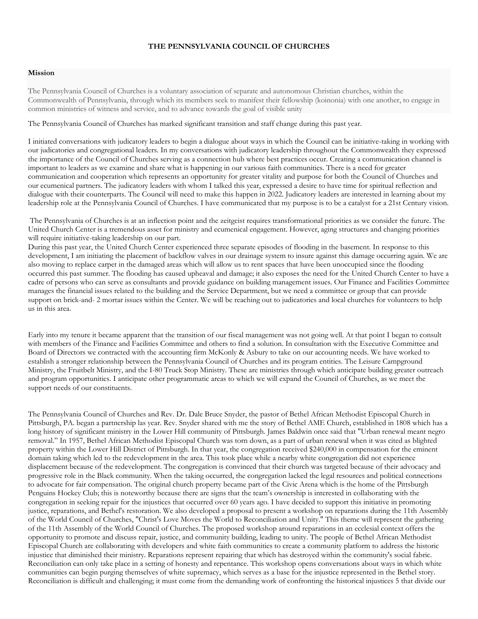## **THE PENNSYLVANIA COUNCIL OF CHURCHES**

## **Mission**

The Pennsylvania Council of Churches is a voluntary association of separate and autonomous Christian churches, within the Commonwealth of Pennsylvania, through which its members seek to manifest their fellowship (koinonia) with one another, to engage in common ministries of witness and service, and to advance towards the goal of visible unity

The Pennsylvania Council of Churches has marked significant transition and staff change during this past year.

I initiated conversations with judicatory leaders to begin a dialogue about ways in which the Council can be initiative-taking in working with our judicatories and congregational leaders. In my conversations with judicatory leadership throughout the Commonwealth they expressed the importance of the Council of Churches serving as a connection hub where best practices occur. Creating a communication channel is important to leaders as we examine and share what is happening in our various faith communities. There is a need for greater communication and cooperation which represents an opportunity for greater vitality and purpose for both the Council of Churches and our ecumenical partners. The judicatory leaders with whom I talked this year, expressed a desire to have time for spiritual reflection and dialogue with their counterparts. The Council will need to make this happen in 2022. Judicatory leaders are interested in learning about my leadership role at the Pennsylvania Council of Churches. I have communicated that my purpose is to be a catalyst for a 21st Century vision.

The Pennsylvania of Churches is at an inflection point and the zeitgeist requires transformational priorities as we consider the future. The United Church Center is a tremendous asset for ministry and ecumenical engagement. However, aging structures and changing priorities will require initiative-taking leadership on our part.

During this past year, the United Church Center experienced three separate episodes of flooding in the basement. In response to this development, I am initiating the placement of backflow valves in our drainage system to insure against this damage occurring again. We are also moving to replace carpet in the damaged areas which will allow us to rent spaces that have been unoccupied since the flooding occurred this past summer. The flooding has caused upheaval and damage; it also exposes the need for the United Church Center to have a cadre of persons who can serve as consultants and provide guidance on building management issues. Our Finance and Facilities Committee manages the financial issues related to the building and the Service Department, but we need a committee or group that can provide support on brick-and- 2 mortar issues within the Center. We will be reaching out to judicatories and local churches for volunteers to help us in this area.

Early into my tenure it became apparent that the transition of our fiscal management was not going well. At that point I began to consult with members of the Finance and Facilities Committee and others to find a solution. In consultation with the Executive Committee and Board of Directors we contracted with the accounting firm McKonly & Asbury to take on our accounting needs. We have worked to establish a stronger relationship between the Pennsylvania Council of Churches and its program entities. The Leisure Campground Ministry, the Fruitbelt Ministry, and the I-80 Truck Stop Ministry. These are ministries through which anticipate building greater outreach and program opportunities. I anticipate other programmatic areas to which we will expand the Council of Churches, as we meet the support needs of our constituents.

The Pennsylvania Council of Churches and Rev. Dr. Dale Bruce Snyder, the pastor of Bethel African Methodist Episcopal Church in Pittsburgh, PA. began a partnership las year. Rev. Snyder shared with me the story of Bethel AME Church, established in 1808 which has a long history of significant ministry in the Lower Hill community of Pittsburgh. James Baldwin once said that "Urban renewal meant negro removal." In 1957, Bethel African Methodist Episcopal Church was torn down, as a part of urban renewal when it was cited as blighted property within the Lower Hill District of Pittsburgh. In that year, the congregation received \$240,000 in compensation for the eminent domain taking which led to the redevelopment in the area. This took place while a nearby white congregation did not experience displacement because of the redevelopment. The congregation is convinced that their church was targeted because of their advocacy and progressive role in the Black community. When the taking occurred, the congregation lacked the legal resources and political connections to advocate for fair compensation. The original church property became part of the Civic Arena which is the home of the Pittsburgh Penguins Hockey Club; this is noteworthy because there are signs that the team's ownership is interested in collaborating with the congregation in seeking repair for the injustices that occurred over 60 years ago. I have decided to support this initiative in promoting justice, reparations, and Bethel's restoration. We also developed a proposal to present a workshop on reparations during the 11th Assembly of the World Council of Churches, "Christ's Love Moves the World to Reconciliation and Unity." This theme will represent the gathering of the 11th Assembly of the World Council of Churches. The proposed workshop around reparations in an ecclesial context offers the opportunity to promote and discuss repair, justice, and community building, leading to unity. The people of Bethel African Methodist Episcopal Church are collaborating with developers and white faith communities to create a community platform to address the historic injustice that diminished their ministry. Reparations represent repairing that which has destroyed within the community's social fabric. Reconciliation can only take place in a setting of honesty and repentance. This workshop opens conversations about ways in which white communities can begin purging themselves of white supremacy, which serves as a base for the injustice represented in the Bethel story. Reconciliation is difficult and challenging; it must come from the demanding work of confronting the historical injustices 5 that divide our